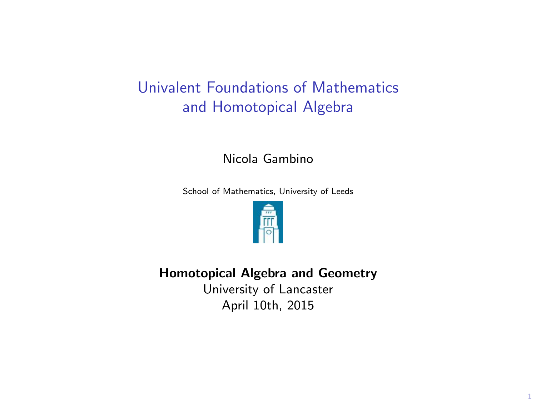# Univalent Foundations of Mathematics and Homotopical Algebra

Nicola Gambino

School of Mathematics, University of Leeds



Homotopical Algebra and Geometry

University of Lancaster April 10th, 2015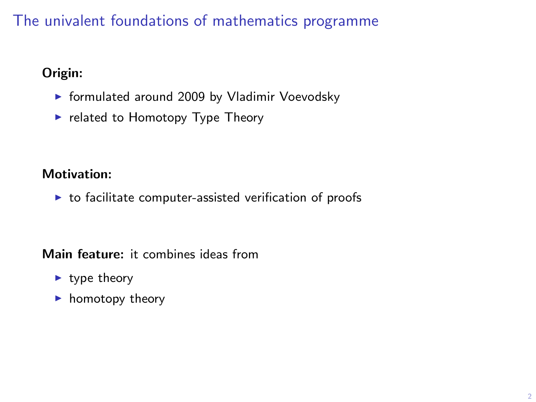# The univalent foundations of mathematics programme

### Origin:

- $\triangleright$  formulated around 2009 by Vladimir Voevodsky
- $\blacktriangleright$  related to Homotopy Type Theory

### Motivation:

 $\triangleright$  to facilitate computer-assisted verification of proofs

Main feature: it combines ideas from

- $\blacktriangleright$  type theory
- $\blacktriangleright$  homotopy theory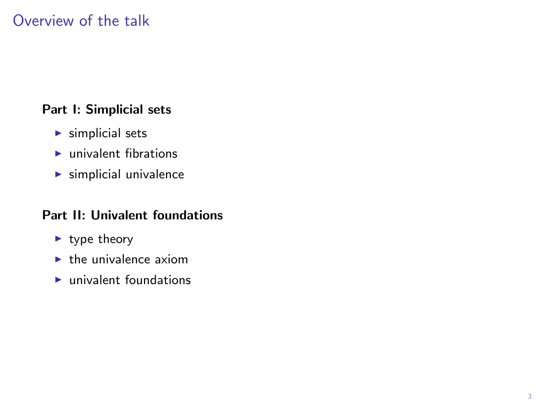## Overview of the talk

#### Part I: Simplicial sets

- $\blacktriangleright$  simplicial sets
- $\blacktriangleright$  univalent fibrations
- $\blacktriangleright$  simplicial univalence

#### Part II: Univalent foundations

- $\blacktriangleright$  type theory
- $\blacktriangleright$  the univalence axiom
- $\blacktriangleright$  univalent foundations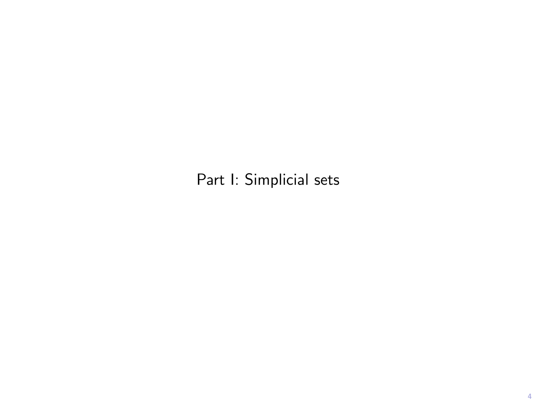Part I: Simplicial sets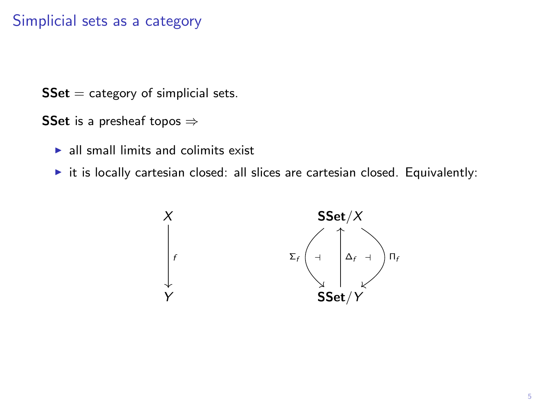### Simplicial sets as a category

 $SSet = category of simplicial sets.$ 

SSet is a presheaf topos  $\Rightarrow$ 

- $\blacktriangleright$  all small limits and colimits exist
- $\triangleright$  it is locally cartesian closed: all slices are cartesian closed. Equivalently:

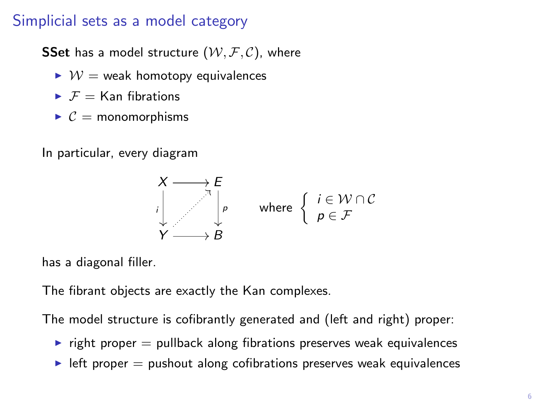### Simplicial sets as a model category

**SSet** has a model structure  $(W, \mathcal{F}, \mathcal{C})$ , where

- $\triangleright \mathcal{W} =$  weak homotopy equivalences
- $\blacktriangleright$   $\mathcal{F}$  = Kan fibrations
- $\triangleright$   $\mathcal{C}$  = monomorphisms

In particular, every diagram



has a diagonal filler.

The fibrant objects are exactly the Kan complexes.

The model structure is cofibrantly generated and (left and right) proper:

- $\triangleright$  right proper  $=$  pullback along fibrations preserves weak equivalences
- $\blacktriangleright$  left proper  $=$  pushout along cofibrations preserves weak equivalences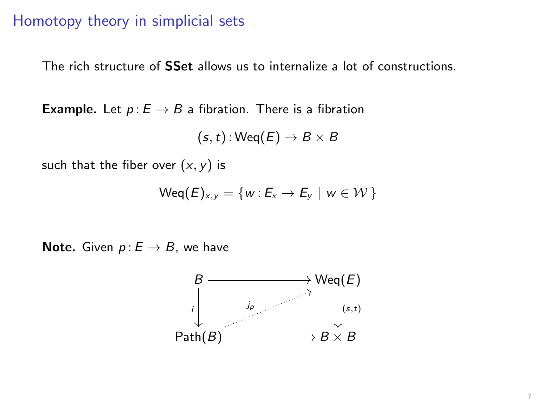### Homotopy theory in simplicial sets

The rich structure of **SSet** allows us to internalize a lot of constructions.

**Example.** Let  $p: E \to B$  a fibration. There is a fibration

$$
(s,t): \mathsf{Weq}(E) \to B \times B
$$

such that the fiber over  $(x, y)$  is

$$
\mathsf{Weq}(E)_{x,y} = \{w: E_x \to E_y \mid w \in \mathcal{W}\}\
$$

Note. Given  $p: E \rightarrow B$ , we have

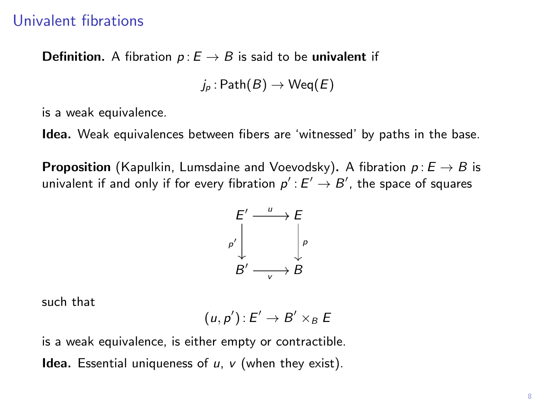#### Univalent fibrations

**Definition.** A fibration  $p: E \to B$  is said to be univalent if

 $j_p : \mathsf{Path}(B) \to \mathsf{Weq}(E)$ 

is a weak equivalence.

Idea. Weak equivalences between fibers are 'witnessed' by paths in the base.

**Proposition** (Kapulkin, Lumsdaine and Voevodsky). A fibration  $p: E \rightarrow B$  is univalent if and only if for every fibration  $\rho^\prime: E^\prime \to B^\prime$ , the space of squares

$$
\begin{array}{ccc}\nE' & \xrightarrow{u} & E \\
\downarrow^{p'} & & \downarrow^{p} \\
B' & \xrightarrow{v} & B\n\end{array}
$$

such that

$$
(u,p')\colon E'\to B'\times_B E
$$

is a weak equivalence, is either empty or contractible.

**Idea.** Essential uniqueness of  $u$ ,  $v$  (when they exist).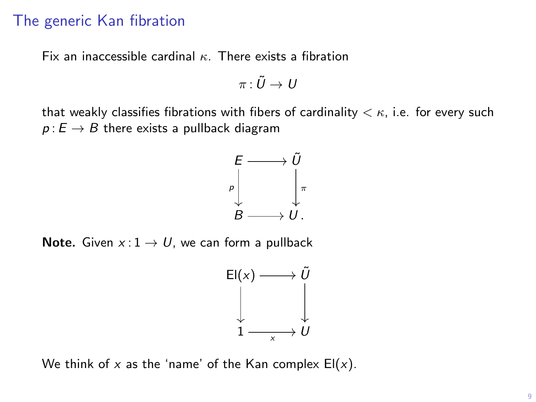## The generic Kan fibration

Fix an inaccessible cardinal  $\kappa$ . There exists a fibration

$$
\pi\colon \tilde U\to\,
$$

that weakly classifies fibrations with fibers of cardinality  $\lt \kappa$ , i.e. for every such  $p: E \to B$  there exists a pullback diagram



**Note.** Given  $x: 1 \rightarrow U$ , we can form a pullback



We think of x as the 'name' of the Kan complex  $El(x)$ .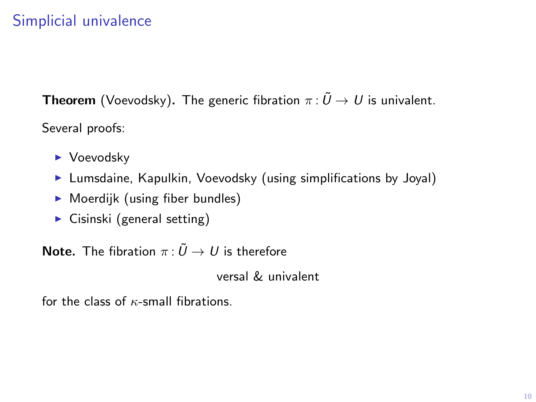# Simplicial univalence

**Theorem** (Voevodsky). The generic fibration  $\pi : \tilde{U} \to U$  is univalent. Several proofs:

- $\blacktriangleright$  Voevodsky
- $\blacktriangleright$  Lumsdaine, Kapulkin, Voevodsky (using simplifications by Joyal)
- $\triangleright$  Moerdijk (using fiber bundles)
- $\triangleright$  Cisinski (general setting)

**Note.** The fibration  $\pi: \tilde{U} \to U$  is therefore

versal & univalent

for the class of  $\kappa$ -small fibrations.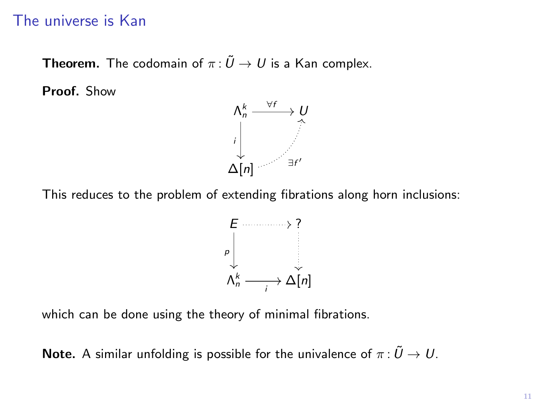### The universe is Kan

**Theorem.** The codomain of  $\pi : \tilde{U} \to U$  is a Kan complex.

Proof. Show



This reduces to the problem of extending fibrations along horn inclusions:



which can be done using the theory of minimal fibrations.

**Note.** A similar unfolding is possible for the univalence of  $\pi : \tilde{U} \to U$ .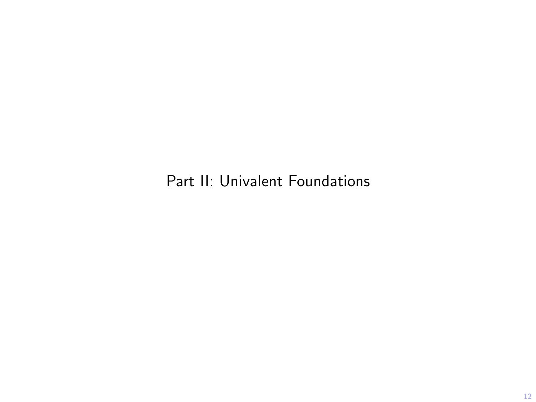Part II: Univalent Foundations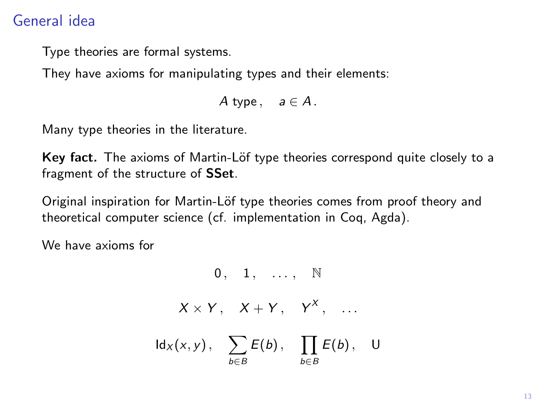## General idea

Type theories are formal systems.

They have axioms for manipulating types and their elements:

A type,  $a \in A$ .

Many type theories in the literature.

Key fact. The axioms of Martin-Löf type theories correspond quite closely to a fragment of the structure of SSet.

Original inspiration for Martin-Löf type theories comes from proof theory and theoretical computer science (cf. implementation in Coq, Agda).

We have axioms for

 $0, 1, ...$   $\mathbb{N}$ 

 $X \times Y$ ,  $X + Y$ ,  $Y^X$ , ...

 $\mathsf{Id}_X(x,y),\quad \sum$ b∈B  $E(b)$ ,  $\prod$ b∈B  $E(b)$ , U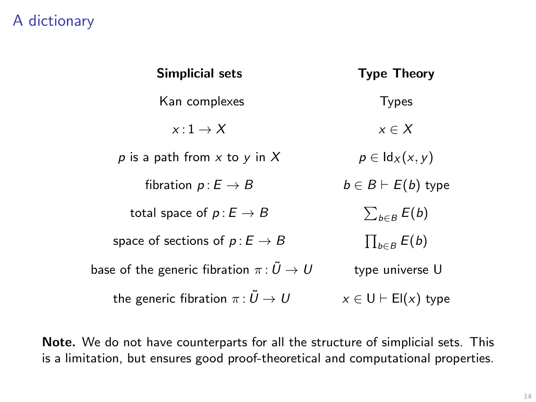## A dictionary

| Simplicial sets                                        | <b>Type Theory</b>          |
|--------------------------------------------------------|-----------------------------|
| Kan complexes                                          | <b>Types</b>                |
| $x:1\to X$                                             | $x \in X$                   |
| p is a path from x to y in X                           | $p \in \mathsf{Id}_X(x, y)$ |
| fibration $p: E \to B$                                 | $b \in B \vdash E(b)$ type  |
| total space of $p: E \to B$                            | $\sum_{b\in B}E(b)$         |
| space of sections of $p: E \to B$                      | $\prod_{b \in B} E(b)$      |
| base of the generic fibration $\pi\colon\tilde U\to U$ | type universe U             |
| the generic fibration $\pi: \tilde{U} \to U$           | $x \in U \vdash El(x)$ type |

Note. We do not have counterparts for all the structure of simplicial sets. This is a limitation, but ensures good proof-theoretical and computational properties.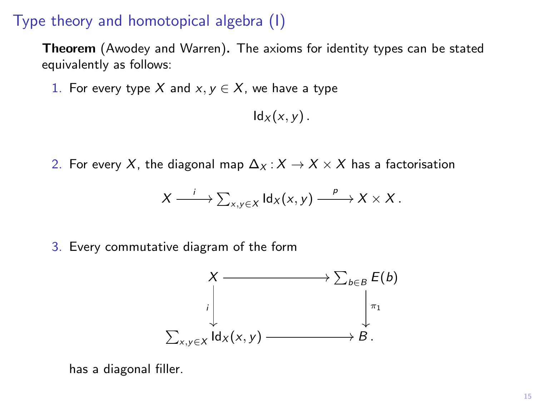### Type theory and homotopical algebra (I)

Theorem (Awodey and Warren). The axioms for identity types can be stated equivalently as follows:

1. For every type X and  $x, y \in X$ , we have a type

 $\mathsf{Id}_X(x, y)$ .

2. For every X, the diagonal map  $\Delta_X$ :  $X \to X \times X$  has a factorisation

$$
X \xrightarrow{i} \sum_{x,y \in X} \mathrm{Id}_X(x,y) \xrightarrow{p} X \times X.
$$

3. Every commutative diagram of the form



has a diagonal filler.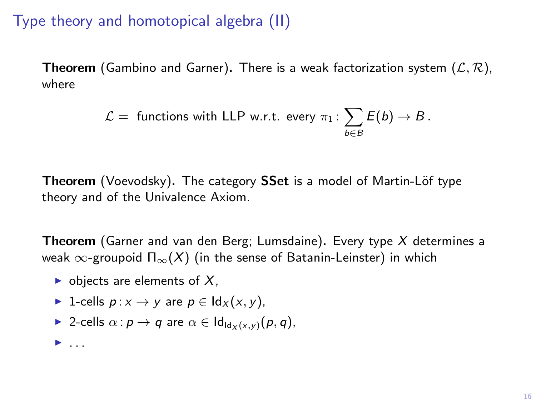## Type theory and homotopical algebra (II)

**Theorem** (Gambino and Garner). There is a weak factorization system  $(\mathcal{L}, \mathcal{R})$ , where

$$
\mathcal{L} = \text{ functions with LLP w.r.t. every } \pi_1: \sum_{b \in B} E(b) \to B.
$$

Theorem (Voevodsky). The category SSet is a model of Martin-Löf type theory and of the Univalence Axiom.

**Theorem** (Garner and van den Berg; Lumsdaine). Every type  $X$  determines a weak  $\infty$ -groupoid  $\Pi_{\infty}(X)$  (in the sense of Batanin-Leinster) in which

- $\triangleright$  objects are elements of X,
- ► 1-cells  $p: x \rightarrow y$  are  $p \in \text{Id}_X(x, y)$ ,
- $\triangleright$  2-cells  $\alpha$  :  $p \to q$  are  $\alpha \in Id_{Id_{\forall}(x,y)}(p,q)$ ,

 $\blacktriangleright$  . . . .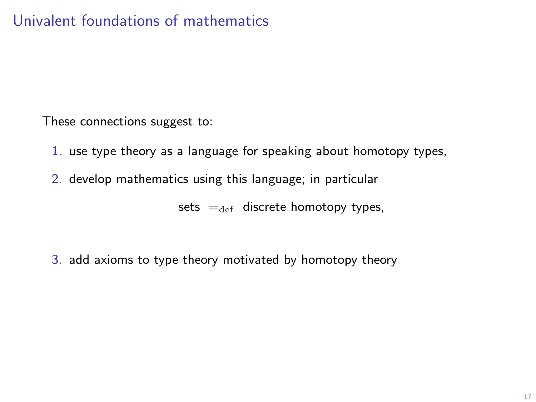These connections suggest to:

- 1. use type theory as a language for speaking about homotopy types,
- 2. develop mathematics using this language; in particular

sets  $=_{def}$  discrete homotopy types,

3. add axioms to type theory motivated by homotopy theory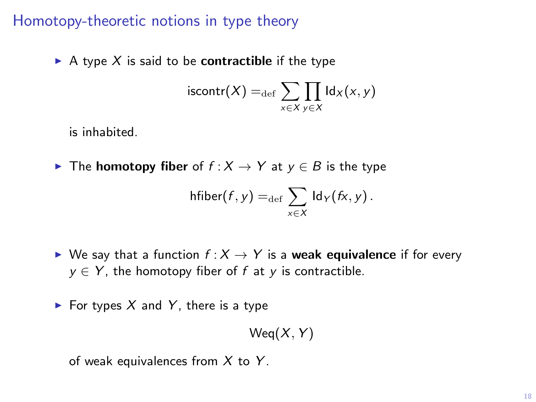### Homotopy-theoretic notions in type theory

A type X is said to be **contractible** if the type

$$
\mathsf{iscontr}(X) =_{\mathsf{def}} \sum_{x \in X} \prod_{y \in X} \mathsf{Id}_X(x, y)
$$

is inhabited.

**►** The **homotopy fiber** of  $f : X \to Y$  at  $y \in B$  is the type

$$
\mathsf{hfiber}(f,y) =_{\mathsf{def}} \sum_{x \in X} \mathsf{Id}_Y(fx,y).
$$

- $\triangleright$  We say that a function  $f: X \rightarrow Y$  is a weak equivalence if for every  $y \in Y$ , the homotopy fiber of f at y is contractible.
- $\blacktriangleright$  For types X and Y, there is a type

 $Weq(X, Y)$ 

of weak equivalences from  $X$  to  $Y$ .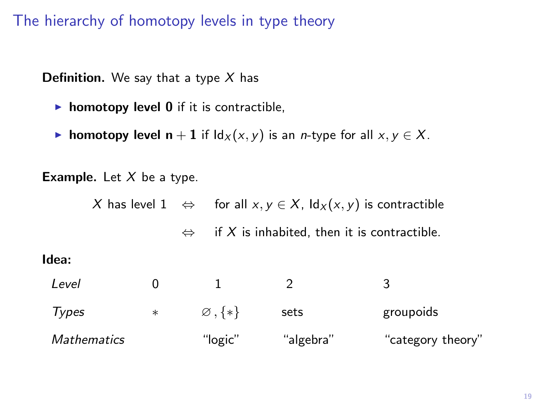The hierarchy of homotopy levels in type theory

**Definition.** We say that a type  $X$  has

- $\triangleright$  homotopy level 0 if it is contractible,
- **► homotopy level n** + 1 if  $\text{Id}_X(x, y)$  is an *n*-type for all  $x, y \in X$ .

**Example.** Let  $X$  be a type.

X has level 1  $\Leftrightarrow$  for all  $x, y \in X$ ,  $\text{Id}_X(x, y)$  is contractible

 $\Leftrightarrow$  if X is inhabited, then it is contractible.

#### Idea:

| Level       |        |                     |           |                   |
|-------------|--------|---------------------|-----------|-------------------|
| Types       | $\ast$ | $\varnothing$ , {*} | sets      | groupoids         |
| Mathematics |        | "logic"             | "algebra" | "category theory" |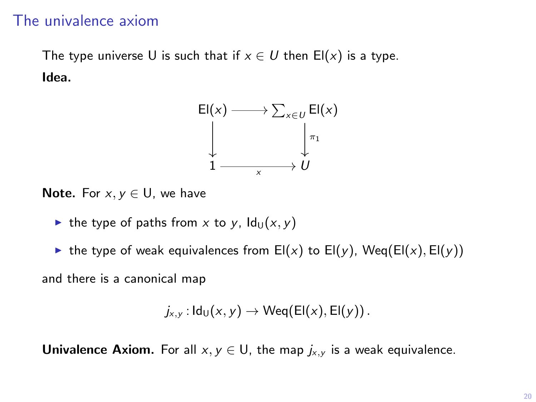### The univalence axiom

The type universe U is such that if  $x \in U$  then  $E(x)$  is a type. Idea.



Note. For  $x, y \in U$ , we have

- In the type of paths from x to y,  $Id_{U}(x, y)$
- ighthe type of weak equivalences from El(x) to El(y), Weq(El(x), El(y))

and there is a canonical map

$$
j_{x,y}: \mathsf{Id}_{\mathsf{U}}(x,y) \to \mathsf{Weq}(\mathsf{El}(x), \mathsf{El}(y))\,.
$$

**Univalence Axiom.** For all  $x, y \in U$ , the map  $j_{x,y}$  is a weak equivalence.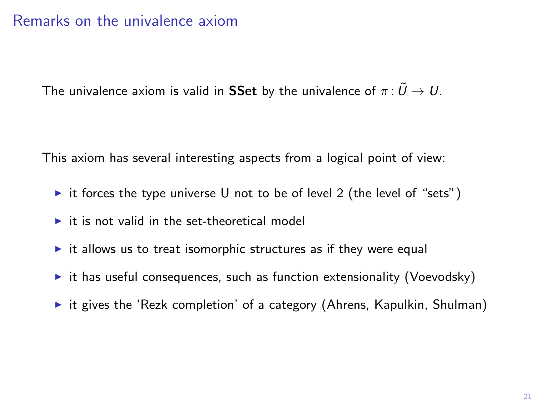### Remarks on the univalence axiom

The univalence axiom is valid in SSet by the univalence of  $\pi : \tilde{U} \to U$ .

This axiom has several interesting aspects from a logical point of view:

- it forces the type universe U not to be of level 2 (the level of "sets")
- $\triangleright$  it is not valid in the set-theoretical model
- $\triangleright$  it allows us to treat isomorphic structures as if they were equal
- $\triangleright$  it has useful consequences, such as function extensionality (Voevodsky)
- $\triangleright$  it gives the 'Rezk completion' of a category (Ahrens, Kapulkin, Shulman)